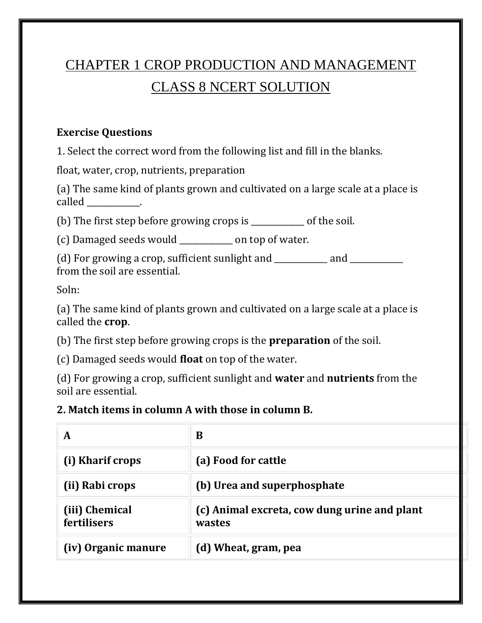# CHAPTER 1 CROP PRODUCTION AND MANAGEMENT CLASS 8 NCERT SOLUTION

#### **Exercise Questions**

1. Select the correct word from the following list and fill in the blanks.

float, water, crop, nutrients, preparation

(a) The same kind of plants grown and cultivated on a large scale at a place is called \_\_\_\_\_\_\_\_\_\_\_.

(b) The first step before growing crops is \_\_\_\_\_\_\_\_\_\_\_\_\_ of the soil.

(c) Damaged seeds would \_\_\_\_\_\_\_\_\_\_\_\_\_ on top of water.

(d) For growing a crop, sufficient sunlight and \_\_\_\_\_\_\_\_\_ and \_\_\_\_\_\_\_\_\_\_\_\_\_\_\_\_\_\_ from the soil are essential.

Soln:

(a) The same kind of plants grown and cultivated on a large scale at a place is called the **crop**.

(b) The first step before growing crops is the **preparation** of the soil.

(c) Damaged seeds would **float** on top of the water.

(d) For growing a crop, sufficient sunlight and **water** and **nutrients** from the soil are essential.

#### **2. Match items in column A with those in column B.**

| A                                    | В                                                      |
|--------------------------------------|--------------------------------------------------------|
| (i) Kharif crops                     | (a) Food for cattle                                    |
| (ii) Rabi crops                      | (b) Urea and superphosphate                            |
| (iii) Chemical<br><b>fertilisers</b> | (c) Animal excreta, cow dung urine and plant<br>wastes |
| (iv) Organic manure                  | (d) Wheat, gram, pea                                   |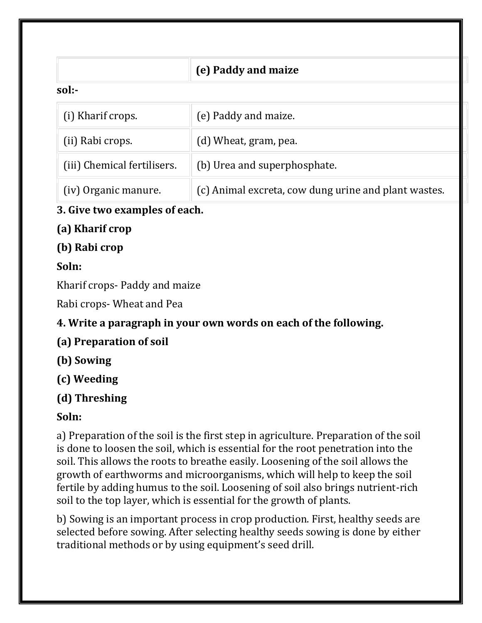|                             | (e) Paddy and maize                                  |  |
|-----------------------------|------------------------------------------------------|--|
| sol:-                       |                                                      |  |
| (i) Kharif crops.           | (e) Paddy and maize.                                 |  |
| (ii) Rabi crops.            | (d) Wheat, gram, pea.                                |  |
| (iii) Chemical fertilisers. | (b) Urea and superphosphate.                         |  |
| (iv) Organic manure.        | (c) Animal excreta, cow dung urine and plant wastes. |  |

### **3. Give two examples of each.**

## **(a) Kharif crop**

## **(b) Rabi crop**

## **Soln:**

Kharif crops- Paddy and maize

Rabi crops- Wheat and Pea

## **4. Write a paragraph in your own words on each of the following.**

- **(a) Preparation of soil**
- **(b) Sowing**
- **(c) Weeding**

## **(d) Threshing**

## **Soln:**

a) Preparation of the soil is the first step in agriculture. Preparation of the soil is done to loosen the soil, which is essential for the root penetration into the soil. This allows the roots to breathe easily. Loosening of the soil allows the growth of earthworms and microorganisms, which will help to keep the soil fertile by adding humus to the soil. Loosening of soil also brings nutrient-rich soil to the top layer, which is essential for the growth of plants.

b) Sowing is an important process in crop production. First, healthy seeds are selected before sowing. After selecting healthy seeds sowing is done by either traditional methods or by using equipment's seed drill.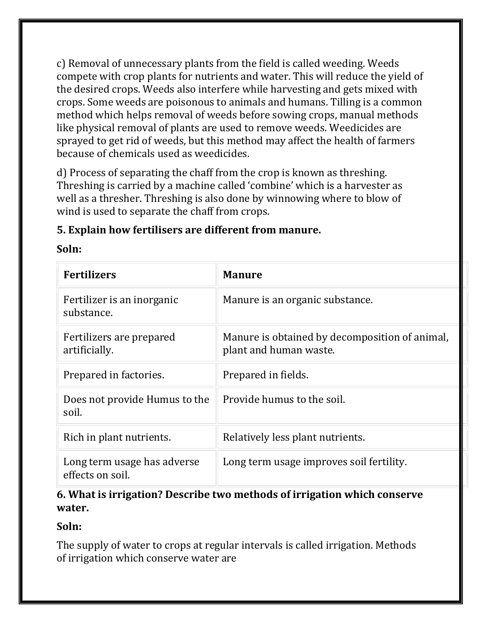c) Removal of unnecessary plants from the field is called weeding. Weeds compete with crop plants for nutrients and water. This will reduce the yield of the desired crops. Weeds also interfere while harvesting and gets mixed with crops. Some weeds are poisonous to animals and humans. Tilling is a common method which helps removal of weeds before sowing crops, manual methods like physical removal of plants are used to remove weeds. Weedicides are sprayed to get rid of weeds, but this method may affect the health of farmers because of chemicals used as weedicides.

d) Process of separating the chaff from the crop is known as threshing. Threshing is carried by a machine called 'combine' which is a harvester as well as a thresher. Threshing is also done by winnowing where to blow of wind is used to separate the chaff from crops.

#### **5. Explain how fertilisers are different from manure.**

#### **Soln:**

| <b>Fertilizers</b>                              | <b>Manure</b>                                                            |
|-------------------------------------------------|--------------------------------------------------------------------------|
| Fertilizer is an inorganic<br>substance.        | Manure is an organic substance.                                          |
| Fertilizers are prepared<br>artificially.       | Manure is obtained by decomposition of animal,<br>plant and human waste. |
| Prepared in factories.                          | Prepared in fields.                                                      |
| Does not provide Humus to the<br>soil.          | Provide humus to the soil.                                               |
| Rich in plant nutrients.                        | Relatively less plant nutrients.                                         |
| Long term usage has adverse<br>effects on soil. | Long term usage improves soil fertility.                                 |

#### **6. What is irrigation? Describe two methods of irrigation which conserve water.**

#### **Soln:**

The supply of water to crops at regular intervals is called irrigation. Methods of irrigation which conserve water are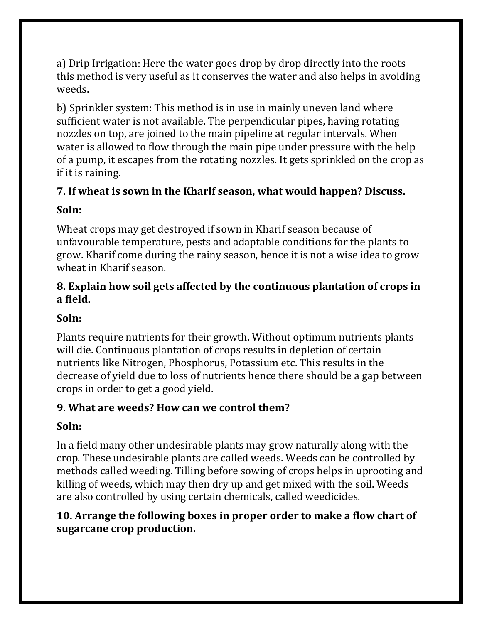a) Drip Irrigation: Here the water goes drop by drop directly into the roots this method is very useful as it conserves the water and also helps in avoiding weeds.

b) Sprinkler system: This method is in use in mainly uneven land where sufficient water is not available. The perpendicular pipes, having rotating nozzles on top, are joined to the main pipeline at regular intervals. When water is allowed to flow through the main pipe under pressure with the help of a pump, it escapes from the rotating nozzles. It gets sprinkled on the crop as if it is raining.

#### **7. If wheat is sown in the Kharif season, what would happen? Discuss.**

#### **Soln:**

Wheat crops may get destroyed if sown in Kharif season because of unfavourable temperature, pests and adaptable conditions for the plants to grow. Kharif come during the rainy season, hence it is not a wise idea to grow wheat in Kharif season.

#### **8. Explain how soil gets affected by the continuous plantation of crops in a field.**

#### **Soln:**

Plants require nutrients for their growth. Without optimum nutrients plants will die. Continuous plantation of crops results in depletion of certain nutrients like Nitrogen, Phosphorus, Potassium etc. This results in the decrease of yield due to loss of nutrients hence there should be a gap between crops in order to get a good yield.

#### **9. What are weeds? How can we control them?**

#### **Soln:**

In a field many other undesirable plants may grow naturally along with the crop. These undesirable plants are called weeds. Weeds can be controlled by methods called weeding. Tilling before sowing of crops helps in uprooting and killing of weeds, which may then dry up and get mixed with the soil. Weeds are also controlled by using certain chemicals, called weedicides.

#### **10. Arrange the following boxes in proper order to make a flow chart of sugarcane crop production.**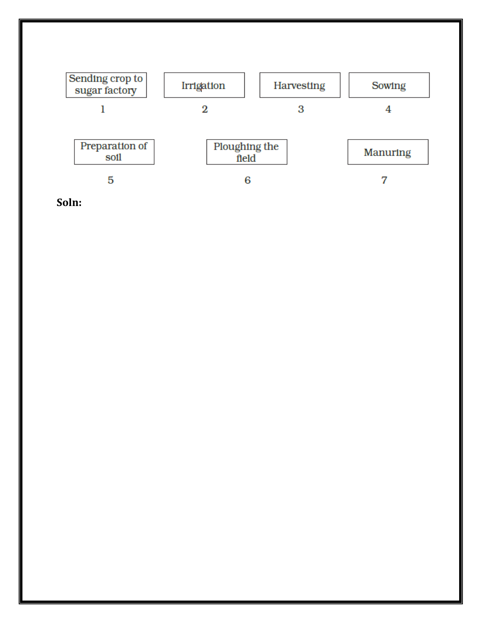

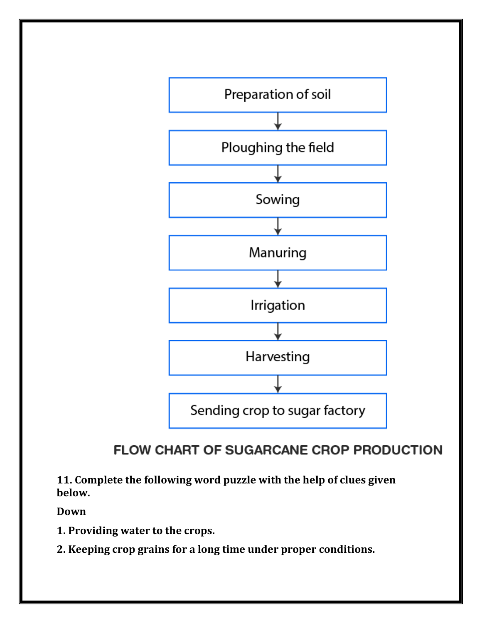

# **FLOW CHART OF SUGARCANE CROP PRODUCTION**

**11. Complete the following word puzzle with the help of clues given below.**

**Down**

- **1. Providing water to the crops.**
- **2. Keeping crop grains for a long time under proper conditions.**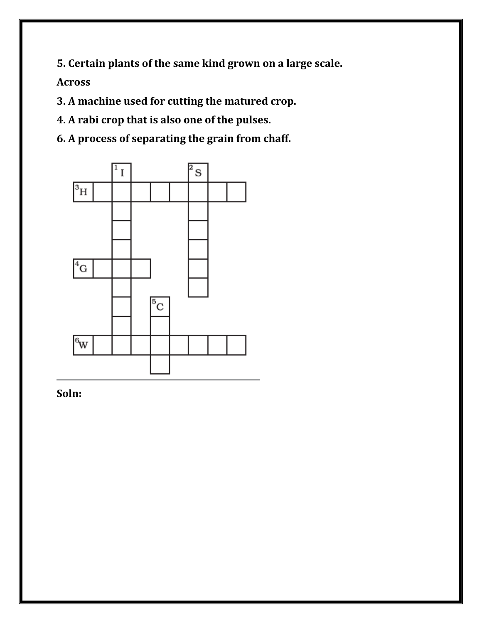**5. Certain plants of the same kind grown on a large scale.**

**Across**

**3. A machine used for cutting the matured crop.**

**4. A rabi crop that is also one of the pulses.**

**6. A process of separating the grain from chaff.**



**Soln:**